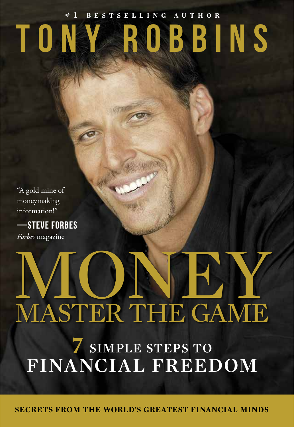# **# 1 BESTSELLING AUTHOR** TONY ROBBINS

"A gold mine of moneymaking information!"

—STEVE FORBES *Forbes* magazine

# MONEY MASTER THE GAME **7 SIMPLE STEPS TO FINANCIAL FREEDOM**

**SECRETS FROM THE WORLD'S GREATEST FINANCIAL MINDS**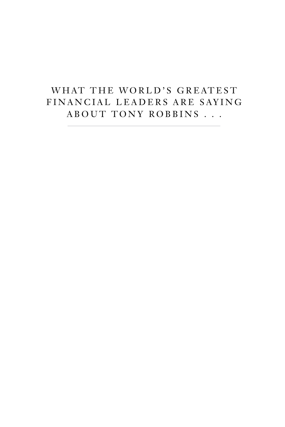### WHAT THE WORLD'S GREATEST FINANCIAL LEADERS ARE SAYING ABOUT TONY ROBBINS . . .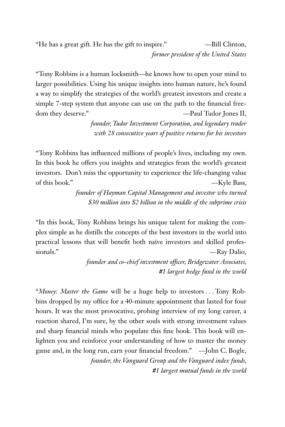"He has a great gift. He has the gift to inspire." *—*Bill Clinton, *former president of the United States*

"Tony Robbins is a human locksmith—he knows how to open your mind to larger possibilities. Using his unique insights into human nature, he's found a way to simplify the strategies of the world's greatest investors and create a simple 7-step system that anyone can use on the path to the fnancial freedom they deserve." *—*Paul Tudor Jones II,

> *founder, Tudor Investment Corporation, and legendary trader with 28 consecutive years of positive returns for his investors*

"Tony Robbins has infuenced millions of people's lives, including my own. In this book he offers you insights and strategies from the world's greatest investors. Don't miss the opportunity to experience the life-changing value of this book." —Kyle Bass,

> *founder of Hayman Capital Management and investor who turned \$30 million into \$2 billion in the middle of the subprime crisis*

"In this book, Tony Robbins brings his unique talent for making the complex simple as he distills the concepts of the best investors in the world into practical lessons that will beneft both naïve investors and skilled professionals." *—*Ray Dalio,

> *founder and co–chief investment offcer, Bridgewater Associates, #1 largest hedge fund in the world*

"*Money: Master the Game* will be a huge help to investors . . . Tony Robbins dropped by my office for a 40-minute appointment that lasted for four hours. It was the most provocative, probing interview of my long career, a reaction shared, I'm sure, by the other souls with strong investment values and sharp fnancial minds who populate this fne book. This book will enlighten you and reinforce your understanding of how to master the money game and, in the long run, earn your fnancial freedom." *—*John C. Bogle, *founder, the Vanguard Group and the Vanguard index funds, #1 largest mutual funds in the world*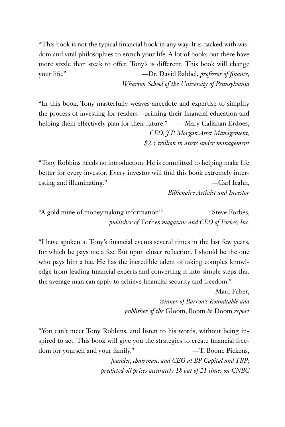"This book is not the typical fnancial book in any way. It is packed with wisdom and vital philosophies to enrich your life. A lot of books out there have more sizzle than steak to offer. Tony's is different. This book will change your life." *—*Dr. David Babbel, *professor of fnance,* 

*Wharton School of the University of Pennsylvania*

"In this book, Tony masterfully weaves anecdote and expertise to simplify the process of investing for readers—priming their fnancial education and helping them effectively plan for their future." *—*Mary Callahan Erdoes, *CEO, J.P. Morgan Asset Management, \$2.5 trillion in assets under management*

"Tony Robbins needs no introduction. He is committed to helping make life better for every investor. Every investor will fnd this book extremely interesting and illuminating." 
—Carl Icahn,

*Billionaire Activist and Investor*

"A gold mine of moneymaking information!" —Steve Forbes, *publisher of* Forbes *magazine and CEO of Forbes, Inc.*

"I have spoken at Tony's fnancial events several times in the last few years, for which he pays me a fee. But upon closer refection, I should be the one who pays him a fee. He has the incredible talent of taking complex knowledge from leading fnancial experts and converting it into simple steps that the average man can apply to achieve fnancial security and freedom."

> *—*Marc Faber, *winner of Barron's Roundtable and publisher of the* Gloom, Boom & Doom *report*

"You can't meet Tony Robbins, and listen to his words, without being inspired to act. This book will give you the strategies to create fnancial freedom for yourself and your family." *—*T. Boone Pickens,

> *founder, chairman, and CEO at BP Capital and TBP; predicted oil prices accurately 18 out of 21 times on CNBC*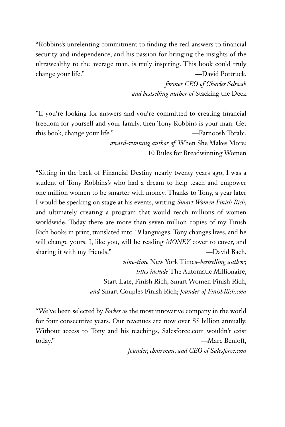"Robbins's unrelenting commitment to fnding the real answers to fnancial security and independence, and his passion for bringing the insights of the ultrawealthy to the average man, is truly inspiring. This book could truly change your life." —David Pottruck,

> *former CEO of Charles Schwab and bestselling author of* Stacking the Deck

"If you're looking for answers and you're committed to creating fnancial freedom for yourself and your family, then Tony Robbins is your man. Get this book, change your life." —Farnoosh Torabi,

> *award-winning author of* When She Makes More: 10 Rules for Breadwinning Women

"Sitting in the back of Financial Destiny nearly twenty years ago, I was a student of Tony Robbins's who had a dream to help teach and empower one million women to be smarter with money. Thanks to Tony, a year later I would be speaking on stage at his events, writing *Smart Women Finish Rich,*  and ultimately creating a program that would reach millions of women worldwide. Today there are more than seven million copies of my Finish Rich books in print, translated into 19 languages. Tony changes lives, and he will change yours. I, like you, will be reading *MONEY* cover to cover, and sharing it with my friends." ——David Bach,

> *nine-time* New York Times–*bestselling author; titles include* The Automatic Millionaire, Start Late, Finish Rich, Smart Women Finish Rich, *and* Smart Couples Finish Rich; *founder of FinishRich.com*

"We've been selected by *Forbes* as the most innovative company in the world for four consecutive years. Our revenues are now over \$5 billion annually. Without access to Tony and his teachings, Salesforce.com wouldn't exist today." *—*Marc Benioff,

*founder, chairman, and CEO of Salesforce.com*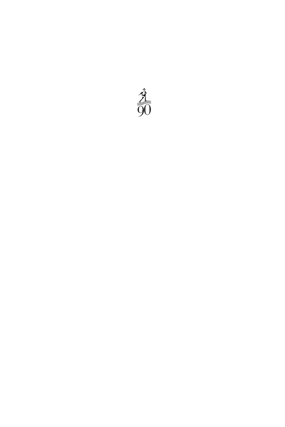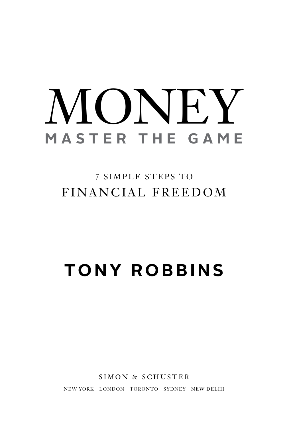# MONEY **MASTER THE GAME**

# 7 SIMPLE STEPS TO FINANCIAL FREEDOM

# **TONY ROBBINS**

SIMON & SCHUSTER

NEW YORK LONDON TORONTO SYDNEY NEW DELHI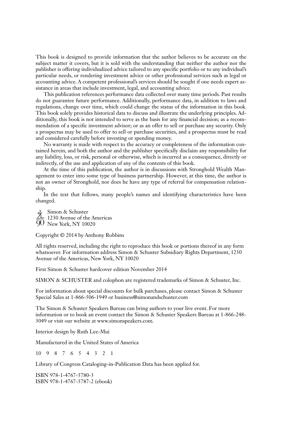This book is designed to provide information that the author believes to be accurate on the subject matter it covers, but it is sold with the understanding that neither the author nor the publisher is offering individualized advice tailored to any specifc portfolio or to any individual's particular needs, or rendering investment advice or other professional services such as legal or accounting advice. A competent professional's services should be sought if one needs expert assistance in areas that include investment, legal, and accounting advice.

This publication references performance data collected over many time periods. Past results do not guarantee future performance. Additionally, performance data, in addition to laws and regulations, change over time, which could change the status of the information in this book. This book solely provides historical data to discuss and illustrate the underlying principles. Additionally, this book is not intended to serve as the basis for any fnancial decision; as a recommendation of a specifc investment advisor; or as an offer to sell or purchase any security. Only a prospectus may be used to offer to sell or purchase securities, and a prospectus must be read and considered carefully before investing or spending money.

No warranty is made with respect to the accuracy or completeness of the information contained herein, and both the author and the publisher specifcally disclaim any responsibility for any liability, loss, or risk, personal or otherwise, which is incurred as a consequence, directly or indirectly, of the use and application of any of the contents of this book.

At the time of this publication, the author is in discussions with Stronghold Wealth Management to enter into some type of business partnership. However, at this time, the author is not an owner of Stronghold, nor does he have any type of referral for compensation relationship.

In the text that follows, many people's names and identifying characteristics have been changed.

Simon & Schuster 1230 Avenue of the Americas New York, NY 10020

Copyright © 2014 by Anthony Robbins

All rights reserved, including the right to reproduce this book or portions thereof in any form whatsoever. For information address Simon & Schuster Subsidiary Rights Department, 1230 Avenue of the Americas, New York, NY 10020

First Simon & Schuster hardcover edition November 2014

SIMON & SCHUSTER and colophon are registered trademarks of Simon & Schuster, Inc.

For information about special discounts for bulk purchases, please contact Simon & Schuster Special Sales at 1-866-506-1949 or business@simonandschuster.com

The Simon & Schuster Speakers Bureau can bring authors to your live event. For more information or to book an event contact the Simon & Schuster Speakers Bureau at 1-866-248- 3049 or visit our website at www.simonspeakers.com.

Interior design by Ruth Lee-Mui

Manufactured in the United States of America

10 9 8 7 6 5 4 3 2 1

Library of Congress Cataloging-in-Publication Data has been applied for.

ISBN 978-1-4767-5780-3 ISBN 978-1-4767-5787-2 (ebook)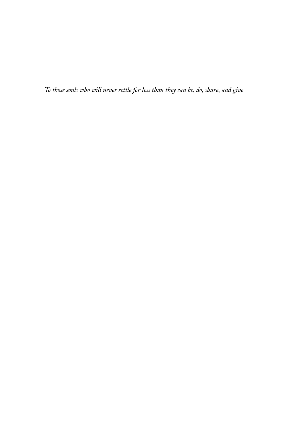*To those souls who will never settle for less than they can be, do, share, and give*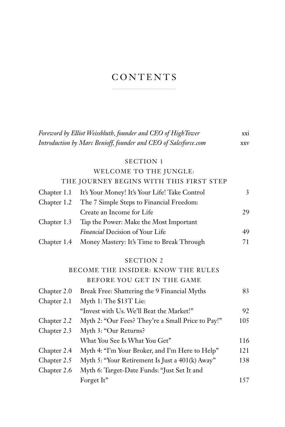### CONTENTS

|             | Foreword by Elliot Weissbluth, founder and CEO of HighTower     | XX1 |
|-------------|-----------------------------------------------------------------|-----|
|             | Introduction by Marc Benioff, founder and CEO of Salesforce.com | XXV |
|             | <b>SECTION 1</b>                                                |     |
|             | WELCOME TO THE JUNGLE:                                          |     |
|             | THE JOURNEY BEGINS WITH THIS FIRST STEP                         |     |
| Chapter 1.1 | It's Your Money! It's Your Life! Take Control                   | 3   |
| Chapter 1.2 | The 7 Simple Steps to Financial Freedom:                        |     |
|             | Create an Income for Life                                       | 29  |
| Chapter 1.3 | Tap the Power: Make the Most Important                          |     |
|             | <i>Financial</i> Decision of Your Life                          | 49  |
| Chapter 1.4 | Money Mastery: It's Time to Break Through                       | 71  |
|             | <b>SECTION 2</b>                                                |     |
|             | BECOME THE INSIDER: KNOW THE RULES                              |     |
|             | BEFORE YOU GET IN THE GAME                                      |     |
| Chapter 2.0 | Break Free: Shattering the 9 Financial Myths                    | 83  |
| Chapter 2.1 | Myth 1: The \$13T Lie:                                          |     |
|             | "Invest with Us. We'll Beat the Market!"                        | 92  |
| Chapter 2.2 | Myth 2: "Our Fees? They're a Small Price to Pay!"               | 105 |
| Chapter 2.3 | Myth 3: "Our Returns?                                           |     |
|             | What You See Is What You Get"                                   | 116 |
| Chapter 2.4 | Myth 4: "I'm Your Broker, and I'm Here to Help"                 | 121 |
| Chapter 2.5 | Myth 5: "Your Retirement Is Just a 401(k) Away"                 | 138 |
|             |                                                                 |     |

| Chapter 2.6 Myth 6: Target-Date Funds: "Just Set It and |  |
|---------------------------------------------------------|--|
| Forget It"                                              |  |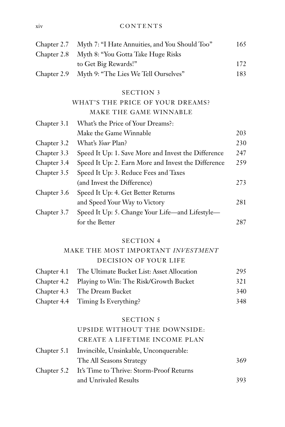| Chapter 2.7 Myth 7: "I Hate Annuities, and You Should Too" | 165 |
|------------------------------------------------------------|-----|
| Chapter 2.8 Myth 8: "You Gotta Take Huge Risks             |     |
| to Get Big Rewards!"                                       | 172 |
| Myth 9: "The Lies We Tell Ourselves"                       | 183 |
|                                                            |     |

#### SECTION 3

#### WHAT'S THE PRICE OF YOUR DREAMS? MAKE THE GAME WINNABLE

| Chapter 3.1 | What's the Price of Your Dreams?:                   |     |
|-------------|-----------------------------------------------------|-----|
|             | Make the Game Winnable                              | 203 |
| Chapter 3.2 | What's <i>Your</i> Plan?                            | 230 |
| Chapter 3.3 | Speed It Up: 1. Save More and Invest the Difference | 247 |
| Chapter 3.4 | Speed It Up: 2. Earn More and Invest the Difference | 259 |
| Chapter 3.5 | Speed It Up: 3. Reduce Fees and Taxes               |     |
|             | (and Invest the Difference)                         | 273 |
| Chapter 3.6 | Speed It Up: 4. Get Better Returns                  |     |
|             | and Speed Your Way to Victory                       | 281 |
| Chapter 3.7 | Speed It Up: 5. Change Your Life-and Lifestyle-     |     |
|             | for the Better                                      | 287 |

#### SECTION 4

| MAKE THE MOST IMPORTANT INVESTMENT |  |
|------------------------------------|--|
| DECISION OF YOUR LIFE              |  |

| Chapter 4.1 The Ultimate Bucket List: Asset Allocation | 295 |
|--------------------------------------------------------|-----|
| Chapter 4.2 Playing to Win: The Risk/Growth Bucket     | 321 |
| Chapter 4.3 The Dream Bucket                           | 340 |
| Chapter 4.4 Timing Is Everything?                      | 348 |

#### SECTION 5

#### UPSIDE WITHOUT THE DOWNSIDE: CREATE A LIFETIME INCOME PLAN

| Chapter 5.1 Invincible, Unsinkable, Unconquerable:   |     |
|------------------------------------------------------|-----|
| The All Seasons Strategy                             | 369 |
| Chapter 5.2 It's Time to Thrive: Storm-Proof Returns |     |
| and Unrivaled Results                                | 393 |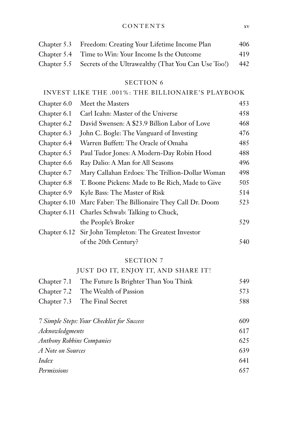#### C ONTENTS xv

| Chapter 5.3 Freedom: Creating Your Lifetime Income Plan             | 406 |
|---------------------------------------------------------------------|-----|
| Chapter 5.4 Time to Win: Your Income Is the Outcome                 | 419 |
| Chapter 5.5 Secrets of the Ultrawealthy (That You Can Use Too!) 442 |     |

#### SECTION 6

#### INVEST LIKE THE .001%: THE BILLIONAIRE'S PLAYBOOK

| Chapter 6.0  | Meet the Masters                                       | 453 |
|--------------|--------------------------------------------------------|-----|
| Chapter 6.1  | Carl Icahn: Master of the Universe                     | 458 |
| Chapter 6.2  | David Swensen: A \$23.9 Billion Labor of Love          | 468 |
| Chapter 6.3  | John C. Bogle: The Vanguard of Investing               | 476 |
| Chapter 6.4  | Warren Buffett: The Oracle of Omaha                    | 485 |
| Chapter 6.5  | Paul Tudor Jones: A Modern-Day Robin Hood              | 488 |
| Chapter 6.6  | Ray Dalio: A Man for All Seasons                       | 496 |
| Chapter 6.7  | Mary Callahan Erdoes: The Trillion-Dollar Woman        | 498 |
| Chapter 6.8  | T. Boone Pickens: Made to Be Rich, Made to Give        | 505 |
| Chapter 6.9  | Kyle Bass: The Master of Risk                          | 514 |
| Chapter 6.10 | Marc Faber: The Billionaire They Call Dr. Doom         | 523 |
| Chapter 6.11 | Charles Schwab: Talking to Chuck,                      |     |
|              | the People's Broker                                    | 529 |
|              | Chapter 6.12 Sir John Templeton: The Greatest Investor |     |
|              | of the 20th Century?                                   | 540 |

#### SECTION 7

JUST DO IT, ENJOY IT, AND SHARE IT!

| Chapter 7.1 The Future Is Brighter Than You Think | 549 |
|---------------------------------------------------|-----|
| Chapter 7.2 The Wealth of Passion                 | 573 |
| Chapter 7.3 The Final Secret                      | 588 |
|                                                   |     |

| 7 Simple Steps: Your Checklist for Success | 609 |
|--------------------------------------------|-----|
| Acknowledgments                            | 617 |
| <b>Anthony Robbins Companies</b>           | 625 |
| A Note on Sources                          | 639 |
| Index                                      | 641 |
| Permissions                                | 657 |
|                                            |     |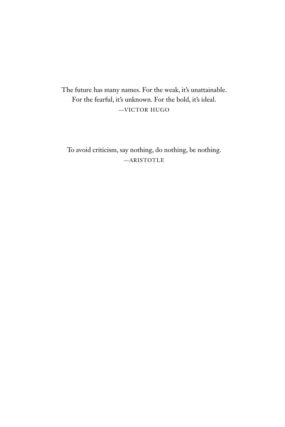#### The future has many names. For the weak, it's unattainable. For the fearful, it's unknown. For the bold, it's ideal. —VICTOR HUGO

To avoid criticism, say nothing, do nothing, be nothing. —ARISTOTLE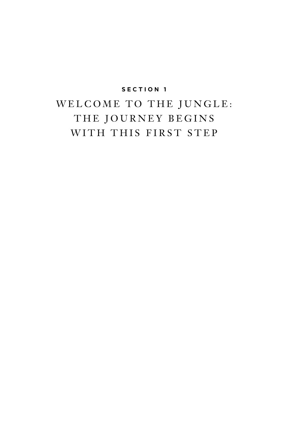#### **SECTION 1**

## WELCOME TO THE JUNGLE: THE JOURNEY BEGINS WITH THIS FIRST STEP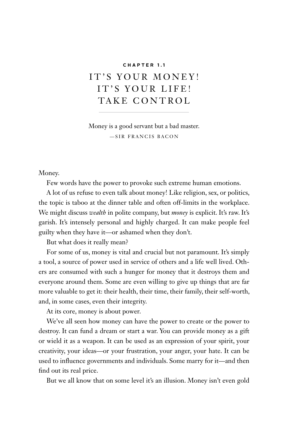#### **CHAPTER 1 . 1**

### IT'S YOUR MONEY! IT'S YOUR LIFE! TAKE CONTROL

Money is a good servant but a bad master. —SIR FRANCIS BACON

Money.

Few words have the power to provoke such extreme human emotions.

A lot of us refuse to even talk about money! Like religion, sex, or politics, the topic is taboo at the dinner table and often off-limits in the workplace. We might discuss *wealth* in polite company, but *money* is explicit. It's raw. It's garish. It's intensely personal and highly charged. It can make people feel guilty when they have it—or ashamed when they don't.

But what does it really mean?

For some of us, money is vital and crucial but not paramount. It's simply a tool, a source of power used in service of others and a life well lived. Others are consumed with such a hunger for money that it destroys them and everyone around them. Some are even willing to give up things that are far more valuable to get it: their health, their time, their family, their self-worth, and, in some cases, even their integrity.

At its core, money is about power.

We've all seen how money can have the power to create or the power to destroy. It can fund a dream or start a war. You can provide money as a gift or wield it as a weapon. It can be used as an expression of your spirit, your creativity, your ideas—or your frustration, your anger, your hate. It can be used to infuence governments and individuals. Some marry for it—and then fnd out its real price.

But we all know that on some level it's an illusion. Money isn't even gold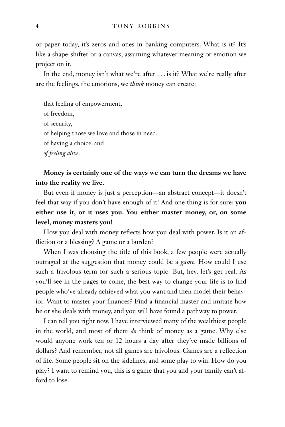or paper today, it's zeros and ones in banking computers. What is it? It's like a shape-shifter or a canvas, assuming whatever meaning or emotion we project on it.

In the end, money isn't what we're after . . . is it? What we're really after are the feelings, the emotions, we *think* money can create:

that feeling of empowerment, of freedom, of security, of helping those we love and those in need, of having a choice, and *of feeling alive.*

**Money is certainly one of the ways we can turn the dreams we have into the reality we live.**

But even if money is just a perception—an abstract concept—it doesn't feel that way if you don't have enough of it! And one thing is for sure: **you either use it, or it uses you. You either master money, or, on some level, money masters you!**

How you deal with money refects how you deal with power. Is it an affiction or a blessing? A game or a burden?

When I was choosing the title of this book, a few people were actually outraged at the suggestion that money could be a *game.* How could I use such a frivolous term for such a serious topic! But, hey, let's get real. As you'll see in the pages to come, the best way to change your life is to fnd people who've already achieved what you want and then model their behavior. Want to master your fnances? Find a fnancial master and imitate how he or she deals with money, and you will have found a pathway to power.

I can tell you right now, I have interviewed many of the wealthiest people in the world, and most of them *do* think of money as a game. Why else would anyone work ten or 12 hours a day after they've made billions of dollars? And remember, not all games are frivolous. Games are a refection of life. Some people sit on the sidelines, and some play to win. How do you play? I want to remind you, this is a game that you and your family can't afford to lose.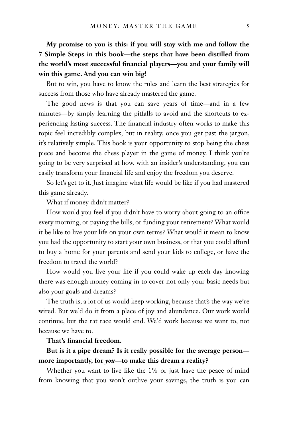**My promise to you is this: if you will stay with me and follow the 7 Simple Steps in this book—the steps that have been distilled from the world's most successful fnancial players—you and your family will win this game. And you can win big!**

But to win, you have to know the rules and learn the best strategies for success from those who have already mastered the game.

The good news is that you can save years of time—and in a few minutes—by simply learning the pitfalls to avoid and the shortcuts to experiencing lasting success. The fnancial industry often works to make this topic feel incredibly complex, but in reality, once you get past the jargon, it's relatively simple. This book is your opportunity to stop being the chess piece and become the chess player in the game of money. I think you're going to be very surprised at how, with an insider's understanding, you can easily transform your fnancial life and enjoy the freedom you deserve.

So let's get to it. Just imagine what life would be like if you had mastered this game already.

What if money didn't matter?

How would you feel if you didn't have to worry about going to an office every morning, or paying the bills, or funding your retirement? What would it be like to live your life on your own terms? What would it mean to know you had the opportunity to start your own business, or that you could afford to buy a home for your parents and send your kids to college, or have the freedom to travel the world?

How would you live your life if you could wake up each day knowing there was enough money coming in to cover not only your basic needs but also your goals and dreams?

The truth is, a lot of us would keep working, because that's the way we're wired. But we'd do it from a place of joy and abundance. Our work would continue, but the rat race would end. We'd work because we want to, not because we have to.

#### **That's fnancial freedom.**

#### **But is it a pipe dream? Is it really possible for the average person more importantly, for** *you***—to make this dream a reality?**

Whether you want to live like the 1% or just have the peace of mind from knowing that you won't outlive your savings, the truth is you can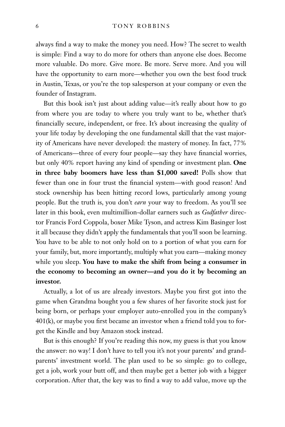always fnd a way to make the money you need. How? The secret to wealth is simple: Find a way to do more for others than anyone else does. Become more valuable. Do more. Give more. Be more. Serve more. And you will have the opportunity to earn more—whether you own the best food truck in Austin, Texas, or you're the top salesperson at your company or even the founder of Instagram.

But this book isn't just about adding value—it's really about how to go from where you are today to where you truly want to be, whether that's fnancially secure, independent, or free. It's about increasing the quality of your life today by developing the one fundamental skill that the vast majority of Americans have never developed: the mastery of money. In fact, 77% of Americans—three of every four people—say they have fnancial worries, but only 40% report having any kind of spending or investment plan. **One in three baby boomers have less than \$1,000 saved!** Polls show that fewer than one in four trust the fnancial system—with good reason! And stock ownership has been hitting record lows, particularly among young people. But the truth is, you don't *earn* your way to freedom. As you'll see later in this book, even multimillion-dollar earners such as *Godfather* director Francis Ford Coppola, boxer Mike Tyson, and actress Kim Basinger lost it all because they didn't apply the fundamentals that you'll soon be learning. You have to be able to not only hold on to a portion of what you earn for your family, but, more importantly, multiply what you earn—making money while you sleep. **You have to make the shift from being a consumer in the economy to becoming an owner—and you do it by becoming an investor.**

Actually, a lot of us are already investors. Maybe you frst got into the game when Grandma bought you a few shares of her favorite stock just for being born, or perhaps your employer auto-enrolled you in the company's 401(k), or maybe you frst became an investor when a friend told you to forget the Kindle and buy Amazon stock instead.

But is this enough? If you're reading this now, my guess is that you know the answer: no way! I don't have to tell you it's not your parents' and grandparents' investment world. The plan used to be so simple: go to college, get a job, work your butt off, and then maybe get a better job with a bigger corporation. After that, the key was to fnd a way to add value, move up the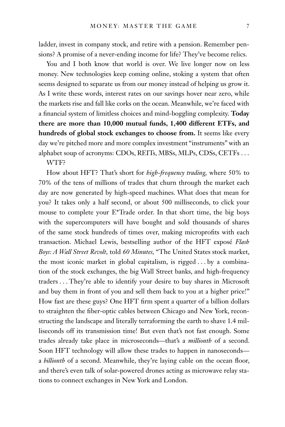ladder, invest in company stock, and retire with a pension. Remember pensions? A promise of a never-ending income for life? They've become relics.

You and I both know that world is over. We live longer now on less money. New technologies keep coming online, stoking a system that often seems designed to separate us from our money instead of helping us grow it. As I write these words, interest rates on our savings hover near zero, while the markets rise and fall like corks on the ocean. Meanwhile, we're faced with a fnancial system of limitless choices and mind-boggling complexity. **Today there are more than 10,000 mutual funds, 1,400 different ETFs, and hundreds of global stock exchanges to choose from.** It seems like every day we're pitched more and more complex investment "instruments" with an alphabet soup of acronyms: CDOs, REITs, MBSs, MLPs, CDSs, CETFs . . .

WTF?

How about HFT? That's short for *high-frequency trading,* where 50% to 70% of the tens of millions of trades that churn through the market each day are now generated by high-speed machines. What does that mean for you? It takes only a half second, or about 500 milliseconds, to click your mouse to complete your E\*Trade order. In that short time, the big boys with the supercomputers will have bought and sold thousands of shares of the same stock hundreds of times over, making microprofts with each transaction. Michael Lewis, bestselling author of the HFT exposé *Flash Boys: A Wall Street Revolt,* told *60 Minutes,* "The United States stock market, the most iconic market in global capitalism, is rigged . . . by a combination of the stock exchanges, the big Wall Street banks, and high-frequency traders . . . They're able to identify your desire to buy shares in Microsoft and buy them in front of you and sell them back to you at a higher price!" How fast are these guys? One HFT frm spent a quarter of a billion dollars to straighten the fber-optic cables between Chicago and New York, reconstructing the landscape and literally terraforming the earth to shave 1.4 milliseconds off its transmission time! But even that's not fast enough. Some trades already take place in microseconds—that's a *millionth* of a second. Soon HFT technology will allow these trades to happen in nanoseconds a *billionth* of a second. Meanwhile, they're laying cable on the ocean foor, and there's even talk of solar-powered drones acting as microwave relay stations to connect exchanges in New York and London.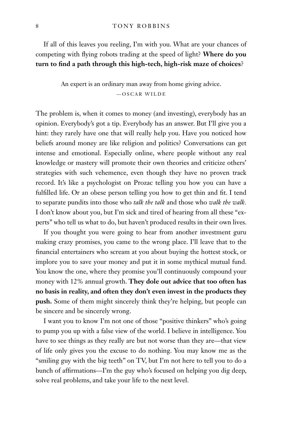If all of this leaves you reeling, I'm with you. What are your chances of competing with fying robots trading at the speed of light? **Where do you turn to fnd a path through this high-tech, high-risk maze of choices**?

> An expert is an ordinary man away from home giving advice. —OSCAR WILDE

The problem is, when it comes to money (and investing), everybody has an opinion. Everybody's got a tip. Everybody has an answer. But I'll give you a hint: they rarely have one that will really help you. Have you noticed how beliefs around money are like religion and politics? Conversations can get intense and emotional. Especially online, where people without any real knowledge or mastery will promote their own theories and criticize others' strategies with such vehemence, even though they have no proven track record. It's like a psychologist on Prozac telling you how you can have a fulflled life. Or an obese person telling you how to get thin and ft. I tend to separate pundits into those who *talk the talk* and those who *walk the walk.* I don't know about you, but I'm sick and tired of hearing from all these "experts" who tell us what to do, but haven't produced results in their own lives.

If you thought you were going to hear from another investment guru making crazy promises, you came to the wrong place. I'll leave that to the fnancial entertainers who scream at you about buying the hottest stock, or implore you to save your money and put it in some mythical mutual fund. You know the one, where they promise you'll continuously compound your money with 12% annual growth. **They dole out advice that too often has no basis in reality, and often they don't even invest in the products they push.** Some of them might sincerely think they're helping, but people can be sincere and be sincerely wrong.

I want you to know I'm not one of those "positive thinkers" who's going to pump you up with a false view of the world. I believe in intelligence. You have to see things as they really are but not worse than they are—that view of life only gives you the excuse to do nothing. You may know me as the "smiling guy with the big teeth" on TV, but I'm not here to tell you to do a bunch of affrmations—I'm the guy who's focused on helping you dig deep, solve real problems, and take your life to the next level.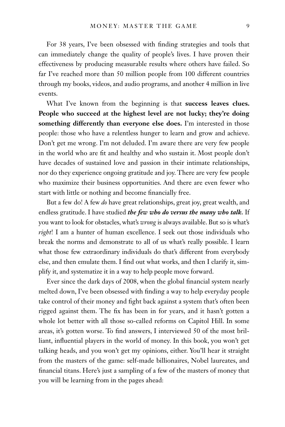For 38 years, I've been obsessed with fnding strategies and tools that can immediately change the quality of people's lives. I have proven their effectiveness by producing measurable results where others have failed. So far I've reached more than 50 million people from 100 different countries through my books, videos, and audio programs, and another 4 million in live events.

What I've known from the beginning is that **success leaves clues. People who succeed at the highest level are not lucky; they're doing something differently than everyone else does.** I'm interested in those people: those who have a relentless hunger to learn and grow and achieve. Don't get me wrong. I'm not deluded. I'm aware there are very few people in the world who are ft and healthy and who sustain it. Most people don't have decades of sustained love and passion in their intimate relationships, nor do they experience ongoing gratitude and joy. There are very few people who maximize their business opportunities. And there are even fewer who start with little or nothing and become fnancially free.

But a few do! A few *do* have great relationships, great joy, great wealth, and endless gratitude. I have studied *the few who do versus the many who talk.* If you want to look for obstacles, what's *wrong* is always available. But so is what's *right*! I am a hunter of human excellence. I seek out those individuals who break the norms and demonstrate to all of us what's really possible. I learn what those few extraordinary individuals do that's different from everybody else, and then emulate them. I fnd out what works, and then I clarify it, simplify it, and systematize it in a way to help people move forward.

Ever since the dark days of 2008, when the global fnancial system nearly melted down, I've been obsessed with fnding a way to help everyday people take control of their money and fght back against a system that's often been rigged against them. The fx has been in for years, and it hasn't gotten a whole lot better with all those so-called reforms on Capitol Hill. In some areas, it's gotten worse. To fnd answers, I interviewed 50 of the most brilliant, infuential players in the world of money. In this book, you won't get talking heads, and you won't get my opinions, either. You'll hear it straight from the masters of the game: self-made billionaires, Nobel laureates, and fnancial titans. Here's just a sampling of a few of the masters of money that you will be learning from in the pages ahead: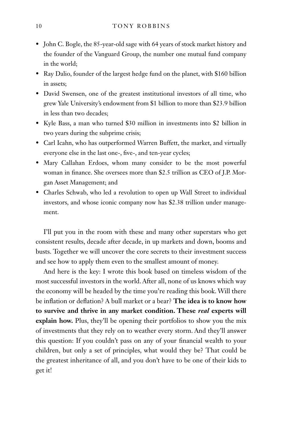- John C. Bogle, the 85-year-old sage with 64 years of stock market history and the founder of the Vanguard Group, the number one mutual fund company in the world;
- Ray Dalio, founder of the largest hedge fund on the planet, with \$160 billion in assets;
- David Swensen, one of the greatest institutional investors of all time, who grew Yale University's endowment from \$1 billion to more than \$23.9 billion in less than two decades;
- Kyle Bass, a man who turned \$30 million in investments into \$2 billion in two years during the subprime crisis;
- Carl Icahn, who has outperformed Warren Buffett, the market, and virtually everyone else in the last one-, fve-, and ten-year cycles;
- Mary Callahan Erdoes, whom many consider to be the most powerful woman in fnance. She oversees more than \$2.5 trillion as CEO of J.P. Morgan Asset Management; and
- Charles Schwab, who led a revolution to open up Wall Street to individual investors, and whose iconic company now has \$2.38 trillion under management.

I'll put you in the room with these and many other superstars who get consistent results, decade after decade, in up markets and down, booms and busts. Together we will uncover the core secrets to their investment success and see how to apply them even to the smallest amount of money.

And here is the key: I wrote this book based on timeless wisdom of the most successful investors in the world. After all, none of us knows which way the economy will be headed by the time you're reading this book. Will there be infation or defation? A bull market or a bear? **The idea is to know how to survive and thrive in any market condition. These** *real* **experts will explain how.** Plus, they'll be opening their portfolios to show you the mix of investments that they rely on to weather every storm. And they'll answer this question: If you couldn't pass on any of your fnancial wealth to your children, but only a set of principles, what would they be? That could be the greatest inheritance of all, and you don't have to be one of their kids to get it!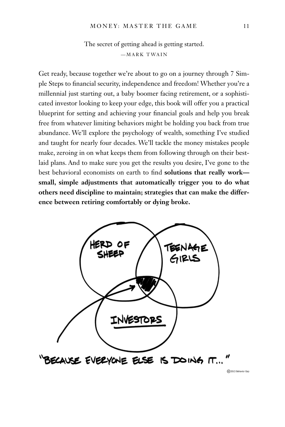#### The secret of getting ahead is getting started. —MARK TWAIN

Get ready, because together we're about to go on a journey through 7 Simple Steps to fnancial security, independence and freedom! Whether you're a millennial just starting out, a baby boomer facing retirement, or a sophisticated investor looking to keep your edge, this book will offer you a practical blueprint for setting and achieving your fnancial goals and help you break free from whatever limiting behaviors might be holding you back from true abundance. We'll explore the psychology of wealth, something I've studied and taught for nearly four decades. We'll tackle the money mistakes people make, zeroing in on what keeps them from following through on their bestlaid plans. And to make sure you get the results you desire, I've gone to the best behavioral economists on earth to fnd **solutions that really work small, simple adjustments that automatically trigger you to do what others need discipline to maintain; strategies that can make the difference between retiring comfortably or dying broke.**



C2013 Behavior Gap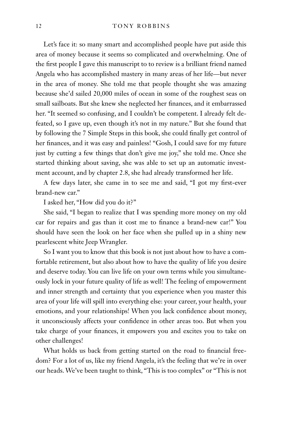Let's face it: so many smart and accomplished people have put aside this area of money because it seems so complicated and overwhelming. One of the frst people I gave this manuscript to to review is a brilliant friend named Angela who has accomplished mastery in many areas of her life—but never in the area of money. She told me that people thought she was amazing because she'd sailed 20,000 miles of ocean in some of the roughest seas on small sailboats. But she knew she neglected her fnances, and it embarrassed her. "It seemed so confusing, and I couldn't be competent. I already felt defeated, so I gave up, even though it's not in my nature." But she found that by following the 7 Simple Steps in this book, she could fnally get control of her fnances, and it was easy and painless! "Gosh, I could save for my future just by cutting a few things that don't give me joy," she told me. Once she started thinking about saving, she was able to set up an automatic investment account, and by chapter 2.8, she had already transformed her life.

A few days later, she came in to see me and said, "I got my frst-ever brand-new car."

I asked her, "How did you do it?"

She said, "I began to realize that I was spending more money on my old car for repairs and gas than it cost me to fnance a brand-new car!" You should have seen the look on her face when she pulled up in a shiny new pearlescent white Jeep Wrangler.

So I want you to know that this book is not just about how to have a comfortable retirement, but also about how to have the quality of life you desire and deserve today. You can live life on your own terms while you simultaneously lock in your future quality of life as well! The feeling of empowerment and inner strength and certainty that you experience when you master this area of your life will spill into everything else: your career, your health, your emotions, and your relationships! When you lack confdence about money, it unconsciously affects your confdence in other areas too. But when you take charge of your fnances, it empowers you and excites you to take on other challenges!

What holds us back from getting started on the road to fnancial freedom? For a lot of us, like my friend Angela, it's the feeling that we're in over our heads. We've been taught to think, "This is too complex" or "This is not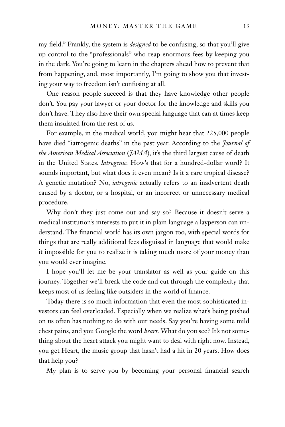my feld." Frankly, the system is *designed* to be confusing, so that you'll give up control to the "professionals" who reap enormous fees by keeping you in the dark. You're going to learn in the chapters ahead how to prevent that from happening, and, most importantly, I'm going to show you that investing your way to freedom isn't confusing at all.

One reason people succeed is that they have knowledge other people don't. You pay your lawyer or your doctor for the knowledge and skills you don't have. They also have their own special language that can at times keep them insulated from the rest of us.

For example, in the medical world, you might hear that 225,000 people have died "iatrogenic deaths" in the past year. According to the *Journal of the American Medical Association* (*JAMA*), it's the third largest cause of death in the United States. *Iatrogenic.* How's that for a hundred-dollar word? It sounds important, but what does it even mean? Is it a rare tropical disease? A genetic mutation? No, *iatrogenic* actually refers to an inadvertent death caused by a doctor, or a hospital, or an incorrect or unnecessary medical procedure.

Why don't they just come out and say so? Because it doesn't serve a medical institution's interests to put it in plain language a layperson can understand. The fnancial world has its own jargon too, with special words for things that are really additional fees disguised in language that would make it impossible for you to realize it is taking much more of your money than you would ever imagine.

I hope you'll let me be your translator as well as your guide on this journey. Together we'll break the code and cut through the complexity that keeps most of us feeling like outsiders in the world of fnance.

Today there is so much information that even the most sophisticated investors can feel overloaded. Especially when we realize what's being pushed on us often has nothing to do with our needs. Say you're having some mild chest pains, and you Google the word *heart.* What do you see? It's not something about the heart attack you might want to deal with right now. Instead, you get Heart, the music group that hasn't had a hit in 20 years. How does that help you?

My plan is to serve you by becoming your personal fnancial search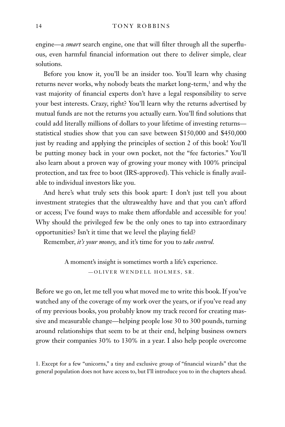engine—a *smart* search engine, one that will flter through all the superfuous, even harmful fnancial information out there to deliver simple, clear solutions.

Before you know it, you'll be an insider too. You'll learn why chasing returns never works, why nobody beats the market long-term,<sup>1</sup> and why the vast majority of fnancial experts don't have a legal responsibility to serve your best interests. Crazy, right? You'll learn why the returns advertised by mutual funds are not the returns you actually earn. You'll fnd solutions that could add literally millions of dollars to your lifetime of investing returns statistical studies show that you can save between \$150,000 and \$450,000 just by reading and applying the principles of section 2 of this book! You'll be putting money back in your own pocket, not the "fee factories." You'll also learn about a proven way of growing your money with 100% principal protection, and tax free to boot (IRS-approved). This vehicle is fnally available to individual investors like you.

And here's what truly sets this book apart: I don't just tell you about investment strategies that the ultrawealthy have and that you can't afford or access; I've found ways to make them affordable and accessible for you! Why should the privileged few be the only ones to tap into extraordinary opportunities? Isn't it time that we level the playing feld?

Remember, *it's your money,* and it's time for you to *take control.*

A moment's insight is sometimes worth a life's experience. —OLIVER WENDELL HOLMES, SR.

Before we go on, let me tell you what moved me to write this book. If you've watched any of the coverage of my work over the years, or if you've read any of my previous books, you probably know my track record for creating massive and measurable change—helping people lose 30 to 300 pounds, turning around relationships that seem to be at their end, helping business owners grow their companies 30% to 130% in a year. I also help people overcome

<sup>1.</sup> Except for a few "unicorns," a tiny and exclusive group of "fnancial wizards" that the general population does not have access to, but I'll introduce you to in the chapters ahead.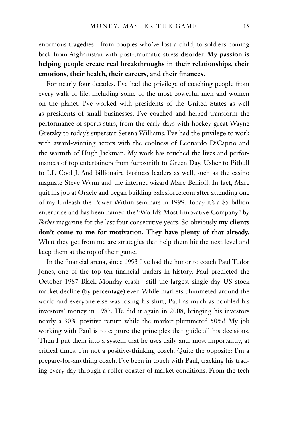enormous tragedies—from couples who've lost a child, to soldiers coming back from Afghanistan with post-traumatic stress disorder. **My passion is helping people create real breakthroughs in their relationships, their emotions, their health, their careers, and their fnances.**

For nearly four decades, I've had the privilege of coaching people from every walk of life, including some of the most powerful men and women on the planet. I've worked with presidents of the United States as well as presidents of small businesses. I've coached and helped transform the performance of sports stars, from the early days with hockey great Wayne Gretzky to today's superstar Serena Williams. I've had the privilege to work with award-winning actors with the coolness of Leonardo DiCaprio and the warmth of Hugh Jackman. My work has touched the lives and performances of top entertainers from Aerosmith to Green Day, Usher to Pitbull to LL Cool J. And billionaire business leaders as well, such as the casino magnate Steve Wynn and the internet wizard Marc Benioff. In fact, Marc quit his job at Oracle and began building Salesforce.com after attending one of my Unleash the Power Within seminars in 1999. Today it's a \$5 billion enterprise and has been named the "World's Most Innovative Company" by *Forbes* magazine for the last four consecutive years. So obviously **my clients don't come to me for motivation. They have plenty of that already.** What they get from me are strategies that help them hit the next level and keep them at the top of their game.

In the fnancial arena, since 1993 I've had the honor to coach Paul Tudor Jones, one of the top ten fnancial traders in history. Paul predicted the October 1987 Black Monday crash—still the largest single-day US stock market decline (by percentage) ever. While markets plummeted around the world and everyone else was losing his shirt, Paul as much as doubled his investors' money in 1987. He did it again in 2008, bringing his investors nearly a 30% positive return while the market plummeted 50%! My job working with Paul is to capture the principles that guide all his decisions. Then I put them into a system that he uses daily and, most importantly, at critical times. I'm not a positive-thinking coach. Quite the opposite: I'm a prepare-for-anything coach. I've been in touch with Paul, tracking his trading every day through a roller coaster of market conditions. From the tech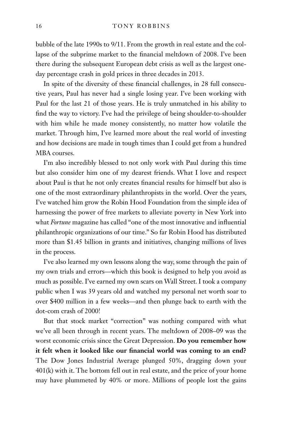bubble of the late 1990s to 9/11. From the growth in real estate and the collapse of the subprime market to the fnancial meltdown of 2008. I've been there during the subsequent European debt crisis as well as the largest oneday percentage crash in gold prices in three decades in 2013.

In spite of the diversity of these fnancial challenges, in 28 full consecutive years, Paul has never had a single losing year. I've been working with Paul for the last 21 of those years. He is truly unmatched in his ability to fnd the way to victory. I've had the privilege of being shoulder-to-shoulder with him while he made money consistently, no matter how volatile the market. Through him, I've learned more about the real world of investing and how decisions are made in tough times than I could get from a hundred MBA courses.

I'm also incredibly blessed to not only work with Paul during this time but also consider him one of my dearest friends. What I love and respect about Paul is that he not only creates fnancial results for himself but also is one of the most extraordinary philanthropists in the world. Over the years, I've watched him grow the Robin Hood Foundation from the simple idea of harnessing the power of free markets to alleviate poverty in New York into what *Fortune* magazine has called "one of the most innovative and infuential philanthropic organizations of our time." So far Robin Hood has distributed more than \$1.45 billion in grants and initiatives, changing millions of lives in the process.

I've also learned my own lessons along the way, some through the pain of my own trials and errors—which this book is designed to help you avoid as much as possible. I've earned my own scars on Wall Street. I took a company public when I was 39 years old and watched my personal net worth soar to over \$400 million in a few weeks—and then plunge back to earth with the dot-com crash of 2000!

But that stock market "correction" was nothing compared with what we've all been through in recent years. The meltdown of 2008–09 was the worst economic crisis since the Great Depression. **Do you remember how it felt when it looked like our fnancial world was coming to an end?** The Dow Jones Industrial Average plunged 50%, dragging down your 401(k) with it. The bottom fell out in real estate, and the price of your home may have plummeted by 40% or more. Millions of people lost the gains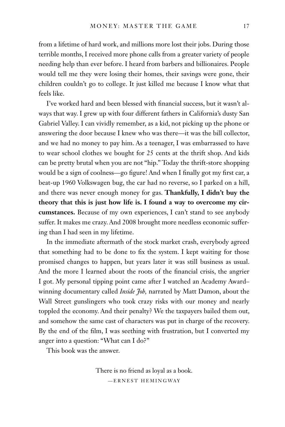from a lifetime of hard work, and millions more lost their jobs. During those terrible months, I received more phone calls from a greater variety of people needing help than ever before. I heard from barbers and billionaires. People would tell me they were losing their homes, their savings were gone, their children couldn't go to college. It just killed me because I know what that feels like.

I've worked hard and been blessed with fnancial success, but it wasn't always that way. I grew up with four different fathers in California's dusty San Gabriel Valley. I can vividly remember, as a kid, not picking up the phone or answering the door because I knew who was there—it was the bill collector, and we had no money to pay him. As a teenager, I was embarrassed to have to wear school clothes we bought for 25 cents at the thrift shop. And kids can be pretty brutal when you are not "hip." Today the thrift-store shopping would be a sign of coolness—go fgure! And when I fnally got my frst car, a beat-up 1960 Volkswagen bug, the car had no reverse, so I parked on a hill, and there was never enough money for gas. **Thankfully, I didn't buy the theory that this is just how life is. I found a way to overcome my circumstances.** Because of my own experiences, I can't stand to see anybody suffer. It makes me crazy. And 2008 brought more needless economic suffering than I had seen in my lifetime.

In the immediate aftermath of the stock market crash, everybody agreed that something had to be done to fx the system. I kept waiting for those promised changes to happen, but years later it was still business as usual. And the more I learned about the roots of the fnancial crisis, the angrier I got. My personal tipping point came after I watched an Academy Award– winning documentary called *Inside Job,* narrated by Matt Damon, about the Wall Street gunslingers who took crazy risks with our money and nearly toppled the economy. And their penalty? We the taxpayers bailed them out, and somehow the same cast of characters was put in charge of the recovery. By the end of the flm, I was seething with frustration, but I converted my anger into a question: "What can I do?"

This book was the answer.

There is no friend as loyal as a book. —ERNEST HEMINGWAY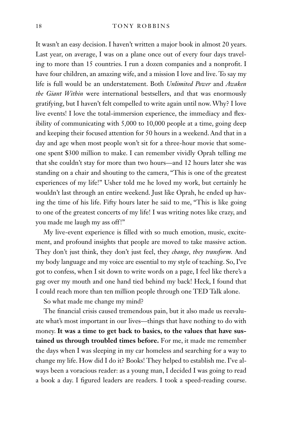It wasn't an easy decision. I haven't written a major book in almost 20 years. Last year, on average, I was on a plane once out of every four days traveling to more than 15 countries. I run a dozen companies and a nonproft. I have four children, an amazing wife, and a mission I love and live. To say my life is full would be an understatement. Both *Unlimited Power* and *Awaken the Giant Within* were international bestsellers, and that was enormously gratifying, but I haven't felt compelled to write again until now. Why? I love live events! I love the total-immersion experience, the immediacy and fexibility of communicating with 5,000 to 10,000 people at a time, going deep and keeping their focused attention for 50 hours in a weekend. And that in a day and age when most people won't sit for a three-hour movie that someone spent \$300 million to make. I can remember vividly Oprah telling me that she couldn't stay for more than two hours—and 12 hours later she was standing on a chair and shouting to the camera, "This is one of the greatest experiences of my life!" Usher told me he loved my work, but certainly he wouldn't last through an entire weekend. Just like Oprah, he ended up having the time of his life. Fifty hours later he said to me, "This is like going to one of the greatest concerts of my life! I was writing notes like crazy, and you made me laugh my ass off!"

My live-event experience is flled with so much emotion, music, excitement, and profound insights that people are moved to take massive action. They don't just think, they don't just feel, they *change, they transform.* And my body language and my voice are essential to my style of teaching. So, I've got to confess, when I sit down to write words on a page, I feel like there's a gag over my mouth and one hand tied behind my back! Heck, I found that I could reach more than ten million people through one TED Talk alone.

So what made me change my mind?

The fnancial crisis caused tremendous pain, but it also made us reevaluate what's most important in our lives—things that have nothing to do with money. **It was a time to get back to basics, to the values that have sustained us through troubled times before.** For me, it made me remember the days when I was sleeping in my car homeless and searching for a way to change my life. How did I do it? Books! They helped to establish me. I've always been a voracious reader: as a young man, I decided I was going to read a book a day. I fgured leaders are readers. I took a speed-reading course.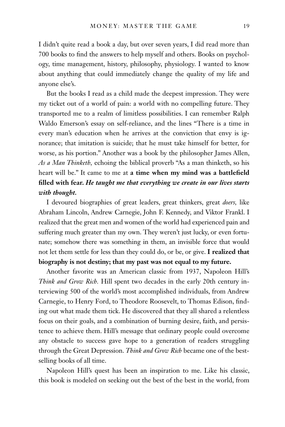I didn't quite read a book a day, but over seven years, I did read more than 700 books to fnd the answers to help myself and others. Books on psychology, time management, history, philosophy, physiology. I wanted to know about anything that could immediately change the quality of my life and anyone else's.

But the books I read as a child made the deepest impression. They were my ticket out of a world of pain: a world with no compelling future. They transported me to a realm of limitless possibilities. I can remember Ralph Waldo Emerson's essay on self-reliance, and the lines "There is a time in every man's education when he arrives at the conviction that envy is ignorance; that imitation is suicide; that he must take himself for better, for worse, as his portion." Another was a book by the philosopher James Allen, *As a Man Thinketh,* echoing the biblical proverb "As a man thinketh, so his heart will be." It came to me at **a time when my mind was a battlefeld flled with fear.** *He taught me that everything we create in our lives starts with thought.*

I devoured biographies of great leaders, great thinkers, great *doers,* like Abraham Lincoln, Andrew Carnegie, John F. Kennedy, and Viktor Frankl. I realized that the great men and women of the world had experienced pain and suffering much greater than my own. They weren't just lucky, or even fortunate; somehow there was something in them, an invisible force that would not let them settle for less than they could do, or be, or give. **I realized that biography is not destiny; that my past was not equal to my future.**

Another favorite was an American classic from 1937, Napoleon Hill's *Think and Grow Rich.* Hill spent two decades in the early 20th century interviewing 500 of the world's most accomplished individuals, from Andrew Carnegie, to Henry Ford, to Theodore Roosevelt, to Thomas Edison, fnding out what made them tick. He discovered that they all shared a relentless focus on their goals, and a combination of burning desire, faith, and persistence to achieve them. Hill's message that ordinary people could overcome any obstacle to success gave hope to a generation of readers struggling through the Great Depression. *Think and Grow Rich* became one of the bestselling books of all time.

Napoleon Hill's quest has been an inspiration to me. Like his classic, this book is modeled on seeking out the best of the best in the world, from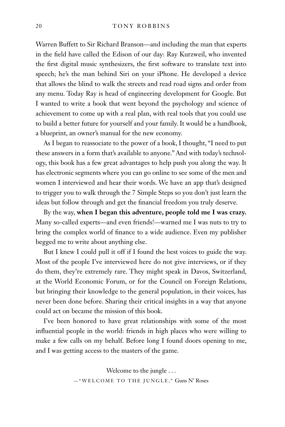Warren Buffett to Sir Richard Branson—and including the man that experts in the feld have called the Edison of our day: Ray Kurzweil, who invented the frst digital music synthesizers, the frst software to translate text into speech; he's the man behind Siri on your iPhone. He developed a device that allows the blind to walk the streets and read road signs and order from any menu. Today Ray is head of engineering development for Google. But I wanted to write a book that went beyond the psychology and science of achievement to come up with a real plan, with real tools that you could use to build a better future for yourself and your family. It would be a handbook, a blueprint, an owner's manual for the new economy.

As I began to reassociate to the power of a book, I thought, "I need to put these answers in a form that's available to anyone." And with today's technology, this book has a few great advantages to help push you along the way. It has electronic segments where you can go online to see some of the men and women I interviewed and hear their words. We have an app that's designed to trigger you to walk through the 7 Simple Steps so you don't just learn the ideas but follow through and get the fnancial freedom you truly deserve.

By the way, **when I began this adventure, people told me I was crazy.** Many so-called experts—and even friends!—warned me I was nuts to try to bring the complex world of fnance to a wide audience. Even my publisher begged me to write about anything else.

But I knew I could pull it off if I found the best voices to guide the way. Most of the people I've interviewed here do not give interviews, or if they do them, they're extremely rare. They might speak in Davos, Switzerland, at the World Economic Forum, or for the Council on Foreign Relations, but bringing their knowledge to the general population, in their voices, has never been done before. Sharing their critical insights in a way that anyone could act on became the mission of this book.

I've been honored to have great relationships with some of the most infuential people in the world: friends in high places who were willing to make a few calls on my behalf. Before long I found doors opening to me, and I was getting access to the masters of the game.

> Welcome to the jungle . . . —"WELCOME TO THE JUNGLE," Guns N' Roses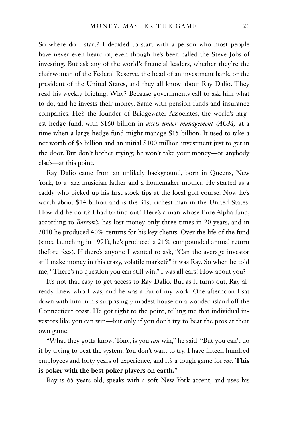So where do I start? I decided to start with a person who most people have never even heard of, even though he's been called the Steve Jobs of investing. But ask any of the world's fnancial leaders, whether they're the chairwoman of the Federal Reserve, the head of an investment bank, or the president of the United States, and they all know about Ray Dalio. They read his weekly briefng. Why? Because governments call to ask him what to do, and he invests their money. Same with pension funds and insurance companies. He's the founder of Bridgewater Associates, the world's largest hedge fund, with \$160 billion in *assets under management (AUM)* at a time when a large hedge fund might manage \$15 billion. It used to take a net worth of \$5 billion and an initial \$100 million investment just to get in the door. But don't bother trying; he won't take your money—or anybody else's—at this point.

Ray Dalio came from an unlikely background, born in Queens, New York, to a jazz musician father and a homemaker mother. He started as a caddy who picked up his frst stock tips at the local golf course. Now he's worth about \$14 billion and is the 31st richest man in the United States. How did he do it? I had to fnd out! Here's a man whose Pure Alpha fund, according to *Barron's,* has lost money only three times in 20 years, and in 2010 he produced 40% returns for his key clients. Over the life of the fund (since launching in 1991), he's produced a 21% compounded annual return (before fees). If there's anyone I wanted to ask, "Can the average investor still make money in this crazy, volatile market?" it was Ray. So when he told me, "There's no question you can still win," I was all ears! How about you?

It's not that easy to get access to Ray Dalio. But as it turns out, Ray already knew who I was, and he was a fan of my work. One afternoon I sat down with him in his surprisingly modest house on a wooded island off the Connecticut coast. He got right to the point, telling me that individual investors like you can win—but only if you don't try to beat the pros at their own game.

"What they gotta know, Tony, is you *can* win," he said. "But you can't do it by trying to beat the system. You don't want to try. I have ffteen hundred employees and forty years of experience, and it's a tough game for *me.* **This is poker with the best poker players on earth.**"

Ray is 65 years old, speaks with a soft New York accent, and uses his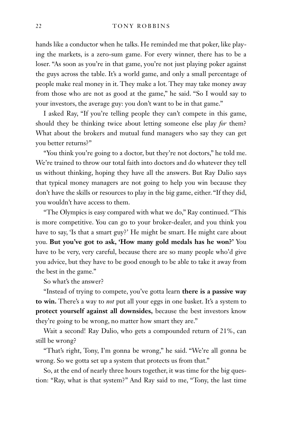hands like a conductor when he talks. He reminded me that poker, like playing the markets, is a zero-sum game. For every winner, there has to be a loser. "As soon as you're in that game, you're not just playing poker against the guys across the table. It's a world game, and only a small percentage of people make real money in it. They make a lot. They may take money away from those who are not as good at the game," he said. "So I would say to your investors, the average guy: you don't want to be in that game."

I asked Ray, "If you're telling people they can't compete in this game, should they be thinking twice about letting someone else play *for* them? What about the brokers and mutual fund managers who say they can get you better returns?"

"You think you're going to a doctor, but they're not doctors," he told me. We're trained to throw our total faith into doctors and do whatever they tell us without thinking, hoping they have all the answers. But Ray Dalio says that typical money managers are not going to help you win because they don't have the skills or resources to play in the big game, either. "If they did, you wouldn't have access to them.

"The Olympics is easy compared with what we do," Ray continued. "This is more competitive. You can go to your broker-dealer, and you think you have to say, 'Is that a smart guy?' He might be smart. He might care about you. **But you've got to ask, 'How many gold medals has he won?'** You have to be very, very careful, because there are so many people who'd give you advice, but they have to be good enough to be able to take it away from the best in the game."

So what's the answer?

"Instead of trying to compete, you've gotta learn **there is a passive way to win.** There's a way to *not* put all your eggs in one basket. It's a system to **protect yourself against all downsides,** because the best investors know they're going to be wrong, no matter how smart they are."

Wait a second! Ray Dalio, who gets a compounded return of 21%, can still be wrong?

"That's right, Tony, I'm gonna be wrong," he said. "We're all gonna be wrong. So we gotta set up a system that protects us from that."

So, at the end of nearly three hours together, it was time for the big question: "Ray, what is that system?" And Ray said to me, "Tony, the last time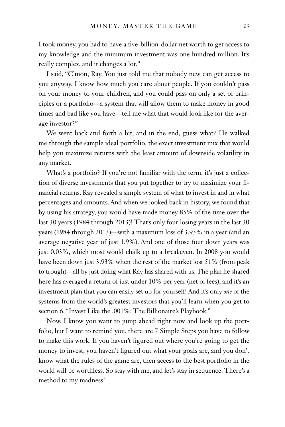I took money, you had to have a fve-billion-dollar net worth to get access to my knowledge and the minimum investment was one hundred million. It's really complex, and it changes a lot."

I said, "C'mon, Ray. You just told me that nobody new can get access to you anyway. I know how much you care about people. If you couldn't pass on your money to your children, and you could pass on only a set of principles or a portfolio—a system that will allow them to make money in good times and bad like you have—tell me what that would look like for the average investor?"

We went back and forth a bit, and in the end, guess what? He walked me through the sample ideal portfolio, the exact investment mix that would help you maximize returns with the least amount of downside volatility in any market.

What's a portfolio? If you're not familiar with the term, it's just a collection of diverse investments that you put together to try to maximize your fnancial returns. Ray revealed a simple system of what to invest in and in what percentages and amounts. And when we looked back in history, we found that by using his strategy, you would have made money 85% of the time over the last 30 years (1984 through 2013)! That's only four losing years in the last 30 years (1984 through 2013)—with a maximum loss of 3.93% in a year (and an average negative year of just 1.9%). And one of those four down years was just 0.03%, which most would chalk up to a breakeven. In 2008 you would have been down just 3.93% when the rest of the market lost 51% (from peak to trough)—all by just doing what Ray has shared with us. The plan he shared here has averaged a return of just under 10% per year (net of fees), and it's an investment plan that you can easily set up for yourself! And it's only *one* of the systems from the world's greatest investors that you'll learn when you get to section 6, "Invest Like the .001%: The Billionaire's Playbook."

Now, I know you want to jump ahead right now and look up the portfolio, but I want to remind you, there are 7 Simple Steps you have to follow to make this work. If you haven't fgured out where you're going to get the money to invest, you haven't fgured out what your goals are, and you don't know what the rules of the game are, then access to the best portfolio in the world will be worthless. So stay with me, and let's stay in sequence. There's a method to my madness!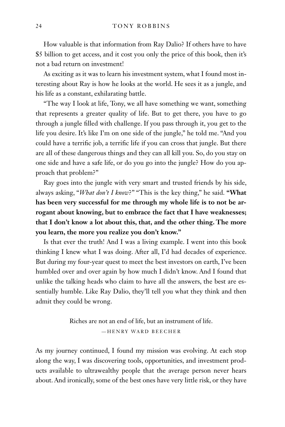How valuable is that information from Ray Dalio? If others have to have \$5 billion to get access, and it cost you only the price of this book, then it's not a bad return on investment!

As exciting as it was to learn his investment system, what I found most interesting about Ray is how he looks at the world. He sees it as a jungle, and his life as a constant, exhilarating battle.

"The way I look at life, Tony, we all have something we want, something that represents a greater quality of life. But to get there, you have to go through a jungle flled with challenge. If you pass through it, you get to the life you desire. It's like I'm on one side of the jungle," he told me. "And you could have a terrifc job, a terrifc life if you can cross that jungle. But there are all of these dangerous things and they can all kill you. So, do you stay on one side and have a safe life, or do you go into the jungle? How do you approach that problem?"

Ray goes into the jungle with very smart and trusted friends by his side, always asking, "*What don't I know*?" "This is the key thing," he said. **"What has been very successful for me through my whole life is to not be arrogant about knowing, but to embrace the fact that I have weaknesses; that I don't know a lot about this, that, and the other thing. The more you learn, the more you realize you don't know."**

Is that ever the truth! And I was a living example. I went into this book thinking I knew what I was doing. After all, I'd had decades of experience. But during my four-year quest to meet the best investors on earth, I've been humbled over and over again by how much I didn't know. And I found that unlike the talking heads who claim to have all the answers, the best are essentially humble. Like Ray Dalio, they'll tell you what they think and then admit they could be wrong.

> Riches are not an end of life, but an instrument of life. —HENRY WARD BEECHER

As my journey continued, I found my mission was evolving. At each stop along the way, I was discovering tools, opportunities, and investment products available to ultrawealthy people that the average person never hears about. And ironically, some of the best ones have very little risk, or they have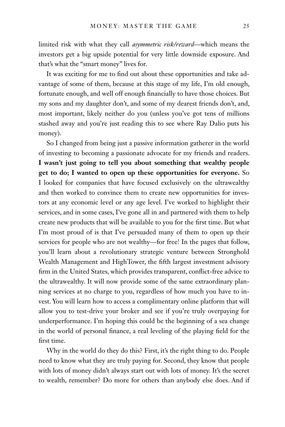limited risk with what they call *asymmetric risk/reward*—which means the investors get a big upside potential for very little downside exposure. And that's what the "smart money" lives for.

It was exciting for me to fnd out about these opportunities and take advantage of some of them, because at this stage of my life, I'm old enough, fortunate enough, and well off enough fnancially to have those choices. But my sons and my daughter don't, and some of my dearest friends don't, and, most important, likely neither do you (unless you've got tens of millions stashed away and you're just reading this to see where Ray Dalio puts his money).

So I changed from being just a passive information gatherer in the world of investing to becoming a passionate advocate for my friends and readers. **I wasn't just going to tell you about something that wealthy people get to do; I wanted to open up these opportunities for everyone.** So I looked for companies that have focused exclusively on the ultrawealthy and then worked to convince them to create new opportunities for investors at any economic level or any age level. I've worked to highlight their services, and in some cases, I've gone all in and partnered with them to help create new products that will be available to you for the frst time. But what I'm most proud of is that I've persuaded many of them to open up their services for people who are not wealthy—for free! In the pages that follow, you'll learn about a revolutionary strategic venture between Stronghold Wealth Management and HighTower, the ffth largest investment advisory frm in the United States, which provides transparent, confict-free advice to the ultrawealthy. It will now provide some of the same extraordinary planning services at no charge to you, regardless of how much you have to invest. You will learn how to access a complimentary online platform that will allow you to test-drive your broker and see if you're truly overpaying for underperformance. I'm hoping this could be the beginning of a sea change in the world of personal fnance, a real leveling of the playing feld for the frst time.

Why in the world do they do this? First, it's the right thing to do. People need to know what they are truly paying for. Second, they know that people with lots of money didn't always start out with lots of money. It's the secret to wealth, remember? Do more for others than anybody else does. And if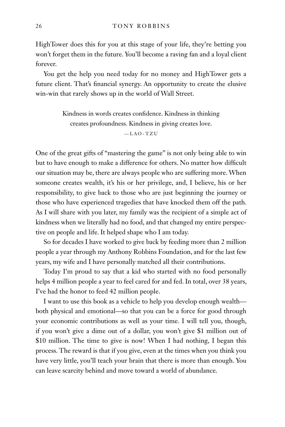HighTower does this for you at this stage of your life, they're betting you won't forget them in the future. You'll become a raving fan and a loyal client forever.

You get the help you need today for no money and HighTower gets a future client. That's fnancial synergy. An opportunity to create the elusive win-win that rarely shows up in the world of Wall Street.

> Kindness in words creates confdence. Kindness in thinking creates profoundness. Kindness in giving creates love. —LAO-TZU

One of the great gifts of "mastering the game" is not only being able to win but to have enough to make a difference for others. No matter how diffcult our situation may be, there are always people who are suffering more. When someone creates wealth, it's his or her privilege, and, I believe, his or her responsibility, to give back to those who are just beginning the journey or those who have experienced tragedies that have knocked them off the path. As I will share with you later, my family was the recipient of a simple act of kindness when we literally had no food, and that changed my entire perspective on people and life. It helped shape who I am today.

So for decades I have worked to give back by feeding more than 2 million people a year through my Anthony Robbins Foundation, and for the last few years, my wife and I have personally matched all their contributions.

Today I'm proud to say that a kid who started with no food personally helps 4 million people a year to feel cared for and fed. In total, over 38 years, I've had the honor to feed 42 million people.

I want to use this book as a vehicle to help you develop enough wealth both physical and emotional—so that you can be a force for good through your economic contributions as well as your time. I will tell you, though, if you won't give a dime out of a dollar, you won't give \$1 million out of \$10 million. The time to give is now! When I had nothing, I began this process. The reward is that if you give, even at the times when you think you have very little, you'll teach your brain that there is more than enough. You can leave scarcity behind and move toward a world of abundance.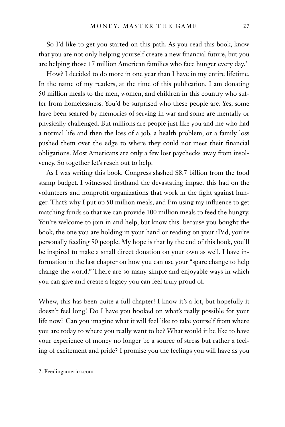So I'd like to get you started on this path. As you read this book, know that you are not only helping yourself create a new fnancial future, but you are helping those 17 million American families who face hunger every day.2

How? I decided to do more in one year than I have in my entire lifetime. In the name of my readers, at the time of this publication, I am donating 50 million meals to the men, women, and children in this country who suffer from homelessness. You'd be surprised who these people are. Yes, some have been scarred by memories of serving in war and some are mentally or physically challenged. But millions are people just like you and me who had a normal life and then the loss of a job, a health problem, or a family loss pushed them over the edge to where they could not meet their fnancial obligations. Most Americans are only a few lost paychecks away from insolvency. So together let's reach out to help.

As I was writing this book, Congress slashed \$8.7 billion from the food stamp budget. I witnessed frsthand the devastating impact this had on the volunteers and nonproft organizations that work in the fght against hunger. That's why I put up 50 million meals, and I'm using my infuence to get matching funds so that we can provide 100 million meals to feed the hungry. You're welcome to join in and help, but know this: because you bought the book, the one you are holding in your hand or reading on your iPad, you're personally feeding 50 people. My hope is that by the end of this book, you'll be inspired to make a small direct donation on your own as well. I have information in the last chapter on how you can use your "spare change to help change the world." There are so many simple and enjoyable ways in which you can give and create a legacy you can feel truly proud of.

Whew, this has been quite a full chapter! I know it's a lot, but hopefully it doesn't feel long! Do I have you hooked on what's really possible for your life now? Can you imagine what it will feel like to take yourself from where you are today to where you really want to be? What would it be like to have your experience of money no longer be a source of stress but rather a feeling of excitement and pride? I promise you the feelings you will have as you

2. Feedingamerica.com